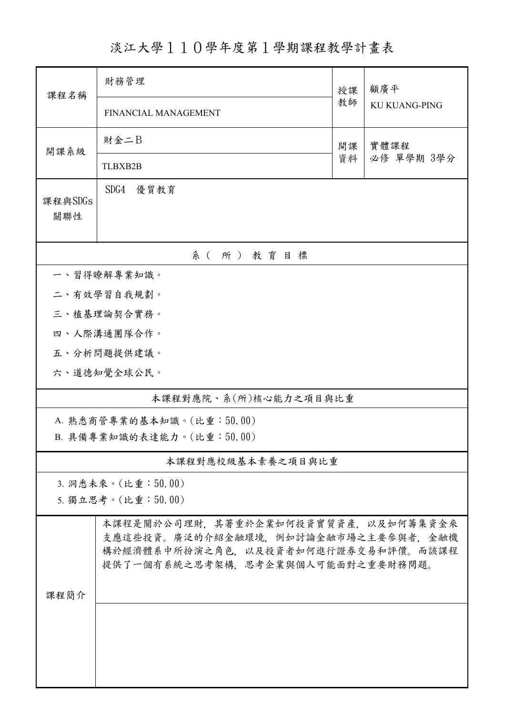淡江大學110學年度第1學期課程教學計畫表

| 課程名稱                      | 財務管理                                                                                                                                                   | 授課 | 顧廣平<br><b>KU KUANG-PING</b> |  |  |
|---------------------------|--------------------------------------------------------------------------------------------------------------------------------------------------------|----|-----------------------------|--|--|
|                           | FINANCIAL MANAGEMENT                                                                                                                                   | 教師 |                             |  |  |
| 開課系級                      | 財金二B                                                                                                                                                   | 開課 | 實體課程                        |  |  |
|                           | <b>TLBXB2B</b>                                                                                                                                         | 資料 | 必修 單學期 3學分                  |  |  |
| 課程與SDGs<br>關聯性            | SDG4<br>優質教育                                                                                                                                           |    |                             |  |  |
| 系(所)教育目標                  |                                                                                                                                                        |    |                             |  |  |
| 一、習得瞭解專業知識。               |                                                                                                                                                        |    |                             |  |  |
|                           | 二、有效學習自我規劃。                                                                                                                                            |    |                             |  |  |
|                           | 三、植基理論契合實務。                                                                                                                                            |    |                             |  |  |
|                           | 四、人際溝通團隊合作。                                                                                                                                            |    |                             |  |  |
|                           | 五、分析問題提供建議。                                                                                                                                            |    |                             |  |  |
|                           | 六、道德知覺全球公民。                                                                                                                                            |    |                             |  |  |
| 本課程對應院、系(所)核心能力之項目與比重     |                                                                                                                                                        |    |                             |  |  |
| A. 熟悉商管專業的基本知識。(比重:50.00) |                                                                                                                                                        |    |                             |  |  |
| B. 具備專業知識的表達能力。(比重:50.00) |                                                                                                                                                        |    |                             |  |  |
| 本課程對應校級基本素養之項目與比重         |                                                                                                                                                        |    |                             |  |  |
| 3. 洞悉未來。(比重:50.00)        |                                                                                                                                                        |    |                             |  |  |
| 5. 獨立思考。(比重:50.00)        |                                                                                                                                                        |    |                             |  |  |
| 課程簡介                      | 本課程是關於公司理財,其著重於企業如何投資實質資產,以及如何籌集資金來<br>支應這些投資。廣泛的介紹金融環境,例如討論金融市場之主要參與者,金融機<br>構於經濟體系中所扮演之角色,以及投資者如何進行證券交易和評價。而該課程<br>提供了一個有系統之思考架構,思考企業與個人可能面對之重要財務問題。 |    |                             |  |  |
|                           |                                                                                                                                                        |    |                             |  |  |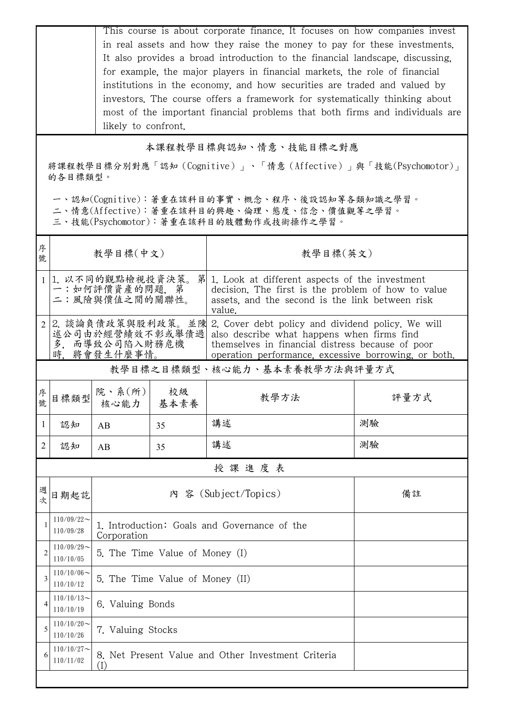This course is about corporate finance. It focuses on how companies invest in real assets and how they raise the money to pay for these investments. It also provides a broad introduction to the financial landscape, discussing, for example, the major players in financial markets, the role of financial institutions in the economy, and how securities are traded and valued by investors. The course offers a framework for systematically thinking about most of the important financial problems that both firms and individuals are likely to confront.

## 本課程教學目標與認知、情意、技能目標之對應

將課程教學目標分別對應「認知(Cognitive)」、「情意(Affective)」與「技能(Psychomotor)」 的各目標類型。

一、認知(Cognitive):著重在該科目的事實、概念、程序、後設認知等各類知識之學習。

二、情意(Affective):著重在該科目的興趣、倫理、態度、信念、價值觀等之學習。

三、技能(Psychomotor):著重在該科目的肢體動作或技術操作之學習。

| 序<br>號         | 教學目標(中文)                                                  |                                                                      |                                              | 教學目標(英文)                                                                                                                                                                                                    |      |  |  |  |
|----------------|-----------------------------------------------------------|----------------------------------------------------------------------|----------------------------------------------|-------------------------------------------------------------------------------------------------------------------------------------------------------------------------------------------------------------|------|--|--|--|
| $\mathbf{1}$   | 1. 以不同的觀點檢視投資決策。<br>第<br>一:如何評價資產的問題, 第<br>二:風險與價值之間的關聯性。 |                                                                      |                                              | 1. Look at different aspects of the investment<br>decision. The first is the problem of how to value<br>assets, and the second is the link between risk<br>value.                                           |      |  |  |  |
| 2              | 多.                                                        | 2. 談論負債政策與股利政策。並陳<br>述公司由於經營績效不彰或舉債過 <br>而導致公司陷入財務危機<br>時、將會發生什麼事情。  |                                              | 2. Cover debt policy and dividend policy. We will<br>also describe what happens when firms find<br>themselves in financial distress because of poor<br>operation performance, excessive borrowing, or both. |      |  |  |  |
|                | 教學目標之目標類型、核心能力、基本素養教學方法與評量方式                              |                                                                      |                                              |                                                                                                                                                                                                             |      |  |  |  |
| 序<br>號         | 目標類型                                                      | 院、系 $(\kappa)$<br>核心能力   基本素養                                        | 校級                                           | 教學方法                                                                                                                                                                                                        | 評量方式 |  |  |  |
| 1              | 認知                                                        | AB                                                                   | 35                                           | 講述                                                                                                                                                                                                          | 測驗   |  |  |  |
| 2              | 認知                                                        | AB                                                                   | 35                                           | 講述                                                                                                                                                                                                          | 測驗   |  |  |  |
|                | 授課進度表                                                     |                                                                      |                                              |                                                                                                                                                                                                             |      |  |  |  |
| 週<br>次         | 日期起訖                                                      |                                                                      |                                              | 內 容 (Subject/Topics)                                                                                                                                                                                        | 備註   |  |  |  |
|                | $110/09/22$ ~<br>110/09/28                                | Corporation                                                          | 1. Introduction: Goals and Governance of the |                                                                                                                                                                                                             |      |  |  |  |
| $\overline{2}$ | $110/09/29$ ~<br>110/10/05                                | 5. The Time Value of Money (I)                                       |                                              |                                                                                                                                                                                                             |      |  |  |  |
| 3              | $110/10/06 \sim$<br>110/10/12                             | 5. The Time Value of Money (II)                                      |                                              |                                                                                                                                                                                                             |      |  |  |  |
|                | $110/10/13$ ~<br>110/10/19                                | 6. Valuing Bonds                                                     |                                              |                                                                                                                                                                                                             |      |  |  |  |
| 5              | $110/10/20$ ~<br>110/10/26                                | 7. Valuing Stocks                                                    |                                              |                                                                                                                                                                                                             |      |  |  |  |
| 6              | $110/10/27$ ~<br>110/11/02                                | 8. Net Present Value and Other Investment Criteria<br>$(\mathrm{I})$ |                                              |                                                                                                                                                                                                             |      |  |  |  |
|                |                                                           |                                                                      |                                              |                                                                                                                                                                                                             |      |  |  |  |